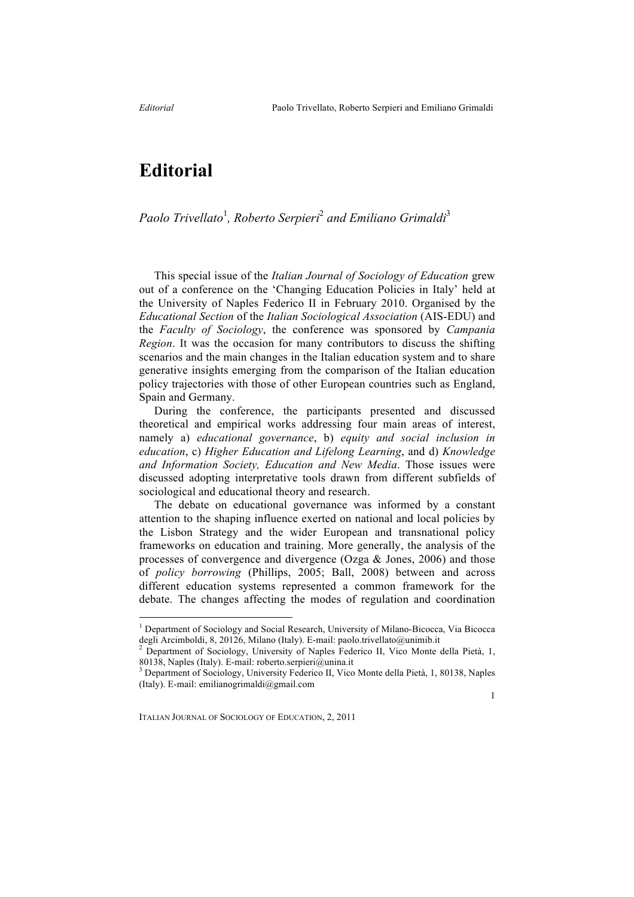## **Editorial**

*Paolo Trivellato*<sup>1</sup> *, Roberto Serpieri*<sup>2</sup> *and Emiliano Grimaldi*<sup>3</sup>

This special issue of the *Italian Journal of Sociology of Education* grew out of a conference on the 'Changing Education Policies in Italy' held at the University of Naples Federico II in February 2010. Organised by the *Educational Section* of the *Italian Sociological Association* (AIS-EDU) and the *Faculty of Sociology*, the conference was sponsored by *Campania Region*. It was the occasion for many contributors to discuss the shifting scenarios and the main changes in the Italian education system and to share generative insights emerging from the comparison of the Italian education policy trajectories with those of other European countries such as England, Spain and Germany.

During the conference, the participants presented and discussed theoretical and empirical works addressing four main areas of interest, namely a) *educational governance*, b) *equity and social inclusion in education*, c) *Higher Education and Lifelong Learning*, and d) *Knowledge and Information Society, Education and New Media*. Those issues were discussed adopting interpretative tools drawn from different subfields of sociological and educational theory and research.

The debate on educational governance was informed by a constant attention to the shaping influence exerted on national and local policies by the Lisbon Strategy and the wider European and transnational policy frameworks on education and training. More generally, the analysis of the processes of convergence and divergence (Ozga & Jones, 2006) and those of *policy borrowing* (Phillips, 2005; Ball, 2008) between and across different education systems represented a common framework for the debate. The changes affecting the modes of regulation and coordination

<sup>&</sup>lt;sup>1</sup> Department of Sociology and Social Research, University of Milano-Bicocca, Via Bicocca degli Arcimboldi, 8, 20126, Milano (Italy). E-mail: paolo.trivellato@unimib.it<br><sup>2</sup> Department of Sociology, University of Naples Federico II, Vico Monte della Pietà, 1,

<sup>80138,</sup> Naples (Italy). E-mail: roberto.serpieri@unina.it <sup>3</sup> Department of Sociology, University Federico II, Vico Monte della Pietà, 1, 80138, Naples

<sup>(</sup>Italy). E-mail: emilianogrimaldi@gmail.com

<sup>1</sup>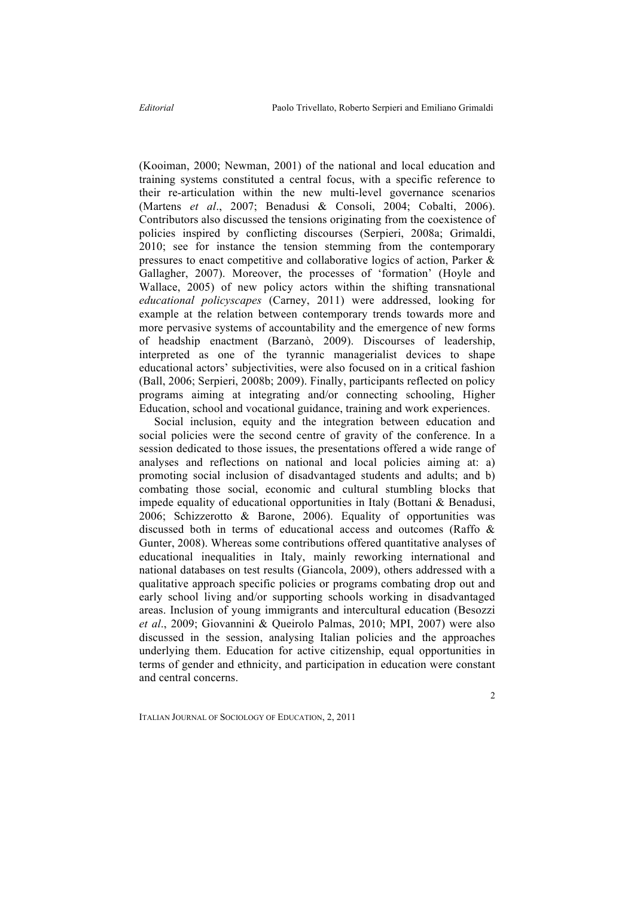(Kooiman, 2000; Newman, 2001) of the national and local education and training systems constituted a central focus, with a specific reference to their re-articulation within the new multi-level governance scenarios (Martens *et al*., 2007; Benadusi & Consoli, 2004; Cobalti, 2006). Contributors also discussed the tensions originating from the coexistence of policies inspired by conflicting discourses (Serpieri, 2008a; Grimaldi, 2010; see for instance the tension stemming from the contemporary pressures to enact competitive and collaborative logics of action, Parker & Gallagher, 2007). Moreover, the processes of 'formation' (Hoyle and Wallace, 2005) of new policy actors within the shifting transnational *educational policyscapes* (Carney, 2011) were addressed, looking for example at the relation between contemporary trends towards more and more pervasive systems of accountability and the emergence of new forms of headship enactment (Barzanò, 2009). Discourses of leadership, interpreted as one of the tyrannic managerialist devices to shape educational actors' subjectivities, were also focused on in a critical fashion (Ball, 2006; Serpieri, 2008b; 2009). Finally, participants reflected on policy programs aiming at integrating and/or connecting schooling, Higher Education, school and vocational guidance, training and work experiences.

Social inclusion, equity and the integration between education and social policies were the second centre of gravity of the conference. In a session dedicated to those issues, the presentations offered a wide range of analyses and reflections on national and local policies aiming at: a) promoting social inclusion of disadvantaged students and adults; and b) combating those social, economic and cultural stumbling blocks that impede equality of educational opportunities in Italy (Bottani & Benadusi, 2006; Schizzerotto & Barone, 2006). Equality of opportunities was discussed both in terms of educational access and outcomes (Raffo & Gunter, 2008). Whereas some contributions offered quantitative analyses of educational inequalities in Italy, mainly reworking international and national databases on test results (Giancola, 2009), others addressed with a qualitative approach specific policies or programs combating drop out and early school living and/or supporting schools working in disadvantaged areas. Inclusion of young immigrants and intercultural education (Besozzi *et al*., 2009; Giovannini & Queirolo Palmas, 2010; MPI, 2007) were also discussed in the session, analysing Italian policies and the approaches underlying them. Education for active citizenship, equal opportunities in terms of gender and ethnicity, and participation in education were constant and central concerns.

 $\overline{\phantom{a}}$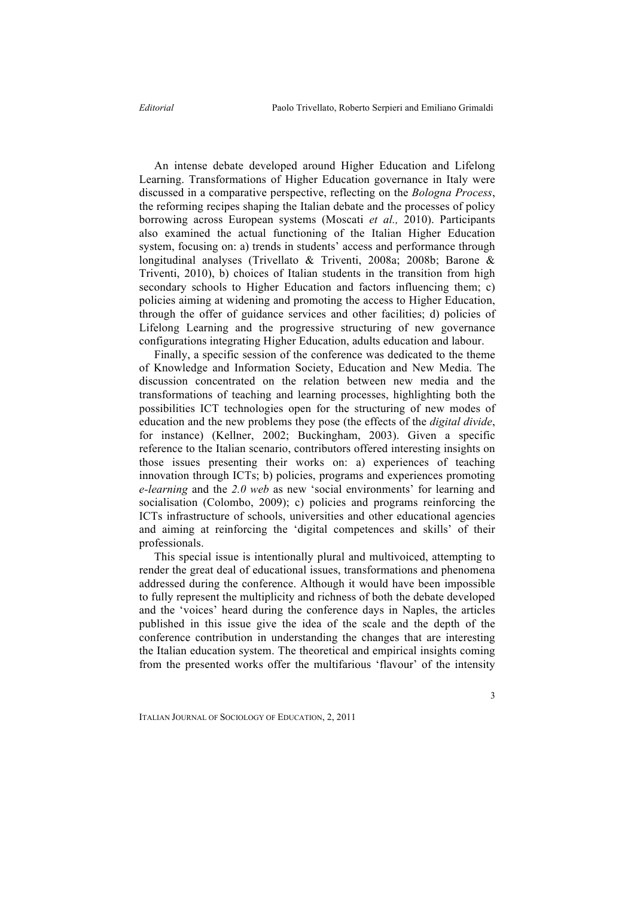An intense debate developed around Higher Education and Lifelong Learning. Transformations of Higher Education governance in Italy were discussed in a comparative perspective, reflecting on the *Bologna Process*, the reforming recipes shaping the Italian debate and the processes of policy borrowing across European systems (Moscati *et al.,* 2010). Participants also examined the actual functioning of the Italian Higher Education system, focusing on: a) trends in students' access and performance through longitudinal analyses (Trivellato & Triventi, 2008a; 2008b; Barone & Triventi, 2010), b) choices of Italian students in the transition from high secondary schools to Higher Education and factors influencing them; c) policies aiming at widening and promoting the access to Higher Education, through the offer of guidance services and other facilities; d) policies of Lifelong Learning and the progressive structuring of new governance configurations integrating Higher Education, adults education and labour.

Finally, a specific session of the conference was dedicated to the theme of Knowledge and Information Society, Education and New Media. The discussion concentrated on the relation between new media and the transformations of teaching and learning processes, highlighting both the possibilities ICT technologies open for the structuring of new modes of education and the new problems they pose (the effects of the *digital divide*, for instance) (Kellner, 2002; Buckingham, 2003). Given a specific reference to the Italian scenario, contributors offered interesting insights on those issues presenting their works on: a) experiences of teaching innovation through ICTs; b) policies, programs and experiences promoting *e-learning* and the *2.0 web* as new 'social environments' for learning and socialisation (Colombo, 2009); c) policies and programs reinforcing the ICTs infrastructure of schools, universities and other educational agencies and aiming at reinforcing the 'digital competences and skills' of their professionals.

This special issue is intentionally plural and multivoiced, attempting to render the great deal of educational issues, transformations and phenomena addressed during the conference. Although it would have been impossible to fully represent the multiplicity and richness of both the debate developed and the 'voices' heard during the conference days in Naples, the articles published in this issue give the idea of the scale and the depth of the conference contribution in understanding the changes that are interesting the Italian education system. The theoretical and empirical insights coming from the presented works offer the multifarious 'flavour' of the intensity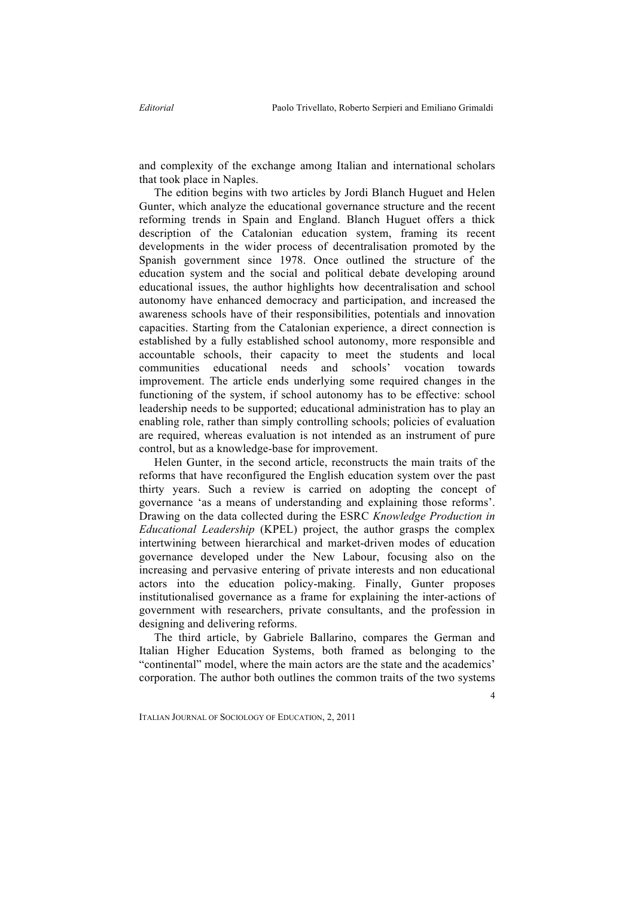and complexity of the exchange among Italian and international scholars that took place in Naples.

The edition begins with two articles by Jordi Blanch Huguet and Helen Gunter, which analyze the educational governance structure and the recent reforming trends in Spain and England. Blanch Huguet offers a thick description of the Catalonian education system, framing its recent developments in the wider process of decentralisation promoted by the Spanish government since 1978. Once outlined the structure of the education system and the social and political debate developing around educational issues, the author highlights how decentralisation and school autonomy have enhanced democracy and participation, and increased the awareness schools have of their responsibilities, potentials and innovation capacities. Starting from the Catalonian experience, a direct connection is established by a fully established school autonomy, more responsible and accountable schools, their capacity to meet the students and local communities educational needs and schools' vocation towards improvement. The article ends underlying some required changes in the functioning of the system, if school autonomy has to be effective: school leadership needs to be supported; educational administration has to play an enabling role, rather than simply controlling schools; policies of evaluation are required, whereas evaluation is not intended as an instrument of pure control, but as a knowledge-base for improvement.

Helen Gunter, in the second article, reconstructs the main traits of the reforms that have reconfigured the English education system over the past thirty years. Such a review is carried on adopting the concept of governance 'as a means of understanding and explaining those reforms'. Drawing on the data collected during the ESRC *Knowledge Production in Educational Leadership* (KPEL) project, the author grasps the complex intertwining between hierarchical and market-driven modes of education governance developed under the New Labour, focusing also on the increasing and pervasive entering of private interests and non educational actors into the education policy-making. Finally, Gunter proposes institutionalised governance as a frame for explaining the inter-actions of government with researchers, private consultants, and the profession in designing and delivering reforms.

The third article, by Gabriele Ballarino, compares the German and Italian Higher Education Systems, both framed as belonging to the "continental" model, where the main actors are the state and the academics' corporation. The author both outlines the common traits of the two systems

4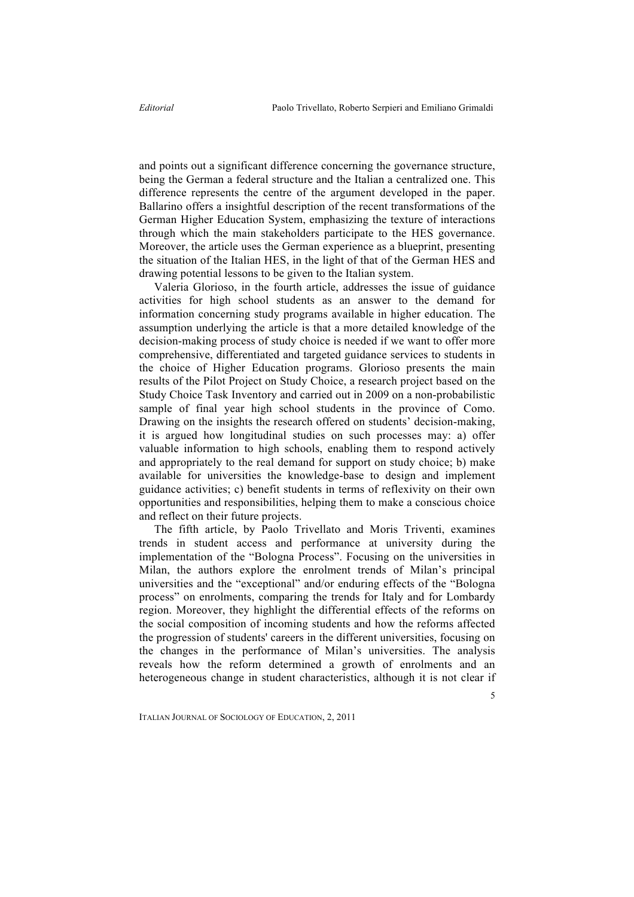and points out a significant difference concerning the governance structure, being the German a federal structure and the Italian a centralized one. This difference represents the centre of the argument developed in the paper. Ballarino offers a insightful description of the recent transformations of the German Higher Education System, emphasizing the texture of interactions through which the main stakeholders participate to the HES governance. Moreover, the article uses the German experience as a blueprint, presenting the situation of the Italian HES, in the light of that of the German HES and drawing potential lessons to be given to the Italian system.

Valeria Glorioso, in the fourth article, addresses the issue of guidance activities for high school students as an answer to the demand for information concerning study programs available in higher education. The assumption underlying the article is that a more detailed knowledge of the decision-making process of study choice is needed if we want to offer more comprehensive, differentiated and targeted guidance services to students in the choice of Higher Education programs. Glorioso presents the main results of the Pilot Project on Study Choice, a research project based on the Study Choice Task Inventory and carried out in 2009 on a non-probabilistic sample of final year high school students in the province of Como. Drawing on the insights the research offered on students' decision-making, it is argued how longitudinal studies on such processes may: a) offer valuable information to high schools, enabling them to respond actively and appropriately to the real demand for support on study choice; b) make available for universities the knowledge-base to design and implement guidance activities; c) benefit students in terms of reflexivity on their own opportunities and responsibilities, helping them to make a conscious choice and reflect on their future projects.

The fifth article, by Paolo Trivellato and Moris Triventi, examines trends in student access and performance at university during the implementation of the "Bologna Process". Focusing on the universities in Milan, the authors explore the enrolment trends of Milan's principal universities and the "exceptional" and/or enduring effects of the "Bologna process" on enrolments, comparing the trends for Italy and for Lombardy region. Moreover, they highlight the differential effects of the reforms on the social composition of incoming students and how the reforms affected the progression of students' careers in the different universities, focusing on the changes in the performance of Milan's universities. The analysis reveals how the reform determined a growth of enrolments and an heterogeneous change in student characteristics, although it is not clear if

5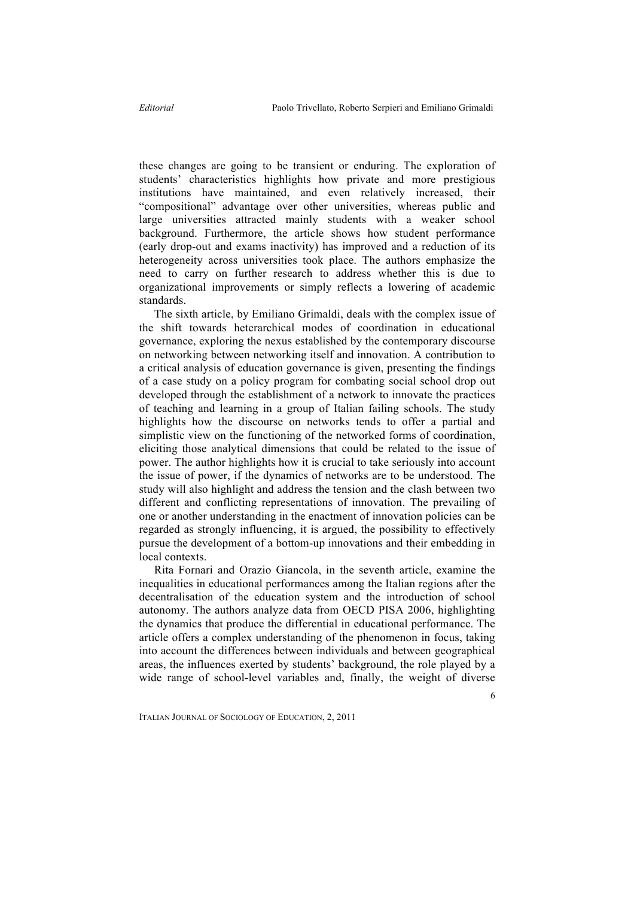these changes are going to be transient or enduring. The exploration of students' characteristics highlights how private and more prestigious institutions have maintained, and even relatively increased, their "compositional" advantage over other universities, whereas public and large universities attracted mainly students with a weaker school background. Furthermore, the article shows how student performance (early drop-out and exams inactivity) has improved and a reduction of its heterogeneity across universities took place. The authors emphasize the need to carry on further research to address whether this is due to organizational improvements or simply reflects a lowering of academic standards.

The sixth article, by Emiliano Grimaldi, deals with the complex issue of the shift towards heterarchical modes of coordination in educational governance, exploring the nexus established by the contemporary discourse on networking between networking itself and innovation. A contribution to a critical analysis of education governance is given, presenting the findings of a case study on a policy program for combating social school drop out developed through the establishment of a network to innovate the practices of teaching and learning in a group of Italian failing schools. The study highlights how the discourse on networks tends to offer a partial and simplistic view on the functioning of the networked forms of coordination, eliciting those analytical dimensions that could be related to the issue of power. The author highlights how it is crucial to take seriously into account the issue of power, if the dynamics of networks are to be understood. The study will also highlight and address the tension and the clash between two different and conflicting representations of innovation. The prevailing of one or another understanding in the enactment of innovation policies can be regarded as strongly influencing, it is argued, the possibility to effectively pursue the development of a bottom-up innovations and their embedding in local contexts.

Rita Fornari and Orazio Giancola, in the seventh article, examine the inequalities in educational performances among the Italian regions after the decentralisation of the education system and the introduction of school autonomy. The authors analyze data from OECD PISA 2006, highlighting the dynamics that produce the differential in educational performance. The article offers a complex understanding of the phenomenon in focus, taking into account the differences between individuals and between geographical areas, the influences exerted by students' background, the role played by a wide range of school-level variables and, finally, the weight of diverse

6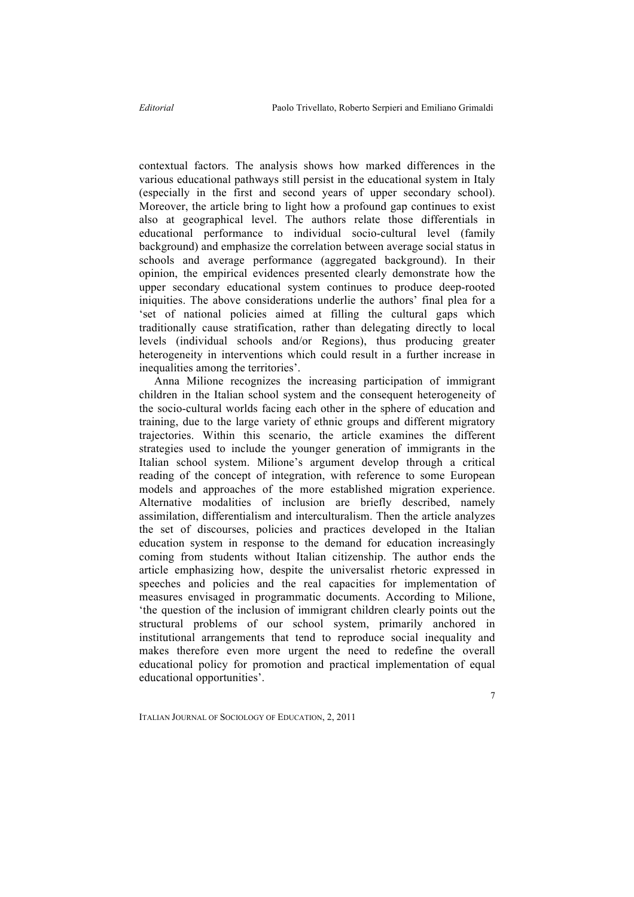contextual factors. The analysis shows how marked differences in the various educational pathways still persist in the educational system in Italy (especially in the first and second years of upper secondary school). Moreover, the article bring to light how a profound gap continues to exist also at geographical level. The authors relate those differentials in educational performance to individual socio-cultural level (family background) and emphasize the correlation between average social status in schools and average performance (aggregated background). In their opinion, the empirical evidences presented clearly demonstrate how the upper secondary educational system continues to produce deep-rooted iniquities. The above considerations underlie the authors' final plea for a 'set of national policies aimed at filling the cultural gaps which traditionally cause stratification, rather than delegating directly to local levels (individual schools and/or Regions), thus producing greater heterogeneity in interventions which could result in a further increase in inequalities among the territories'.

Anna Milione recognizes the increasing participation of immigrant children in the Italian school system and the consequent heterogeneity of the socio-cultural worlds facing each other in the sphere of education and training, due to the large variety of ethnic groups and different migratory trajectories. Within this scenario, the article examines the different strategies used to include the younger generation of immigrants in the Italian school system. Milione's argument develop through a critical reading of the concept of integration, with reference to some European models and approaches of the more established migration experience. Alternative modalities of inclusion are briefly described, namely assimilation, differentialism and interculturalism. Then the article analyzes the set of discourses, policies and practices developed in the Italian education system in response to the demand for education increasingly coming from students without Italian citizenship. The author ends the article emphasizing how, despite the universalist rhetoric expressed in speeches and policies and the real capacities for implementation of measures envisaged in programmatic documents. According to Milione, 'the question of the inclusion of immigrant children clearly points out the structural problems of our school system, primarily anchored in institutional arrangements that tend to reproduce social inequality and makes therefore even more urgent the need to redefine the overall educational policy for promotion and practical implementation of equal educational opportunities'.

7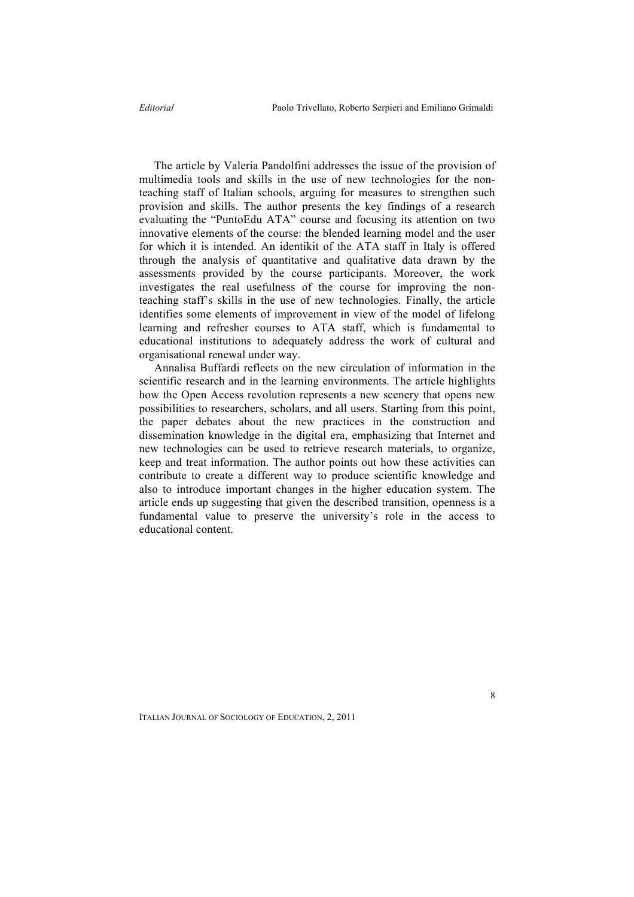The article by Valeria Pandolfini addresses the issue of the provision of multimedia tools and skills in the use of new technologies for the nonteaching staff of Italian schools, arguing for measures to strengthen such provision and skills. The author presents the key findings of a research evaluating the "PuntoEdu ATA" course and focusing its attention on two innovative elements of the course: the blended learning model and the user for which it is intended. An identikit of the ATA staff in Italy is offered through the analysis of quantitative and qualitative data drawn by the assessments provided by the course participants. Moreover, the work investigates the real usefulness of the course for improving the nonteaching staff's skills in the use of new technologies. Finally, the article identifies some elements of improvement in view of the model of lifelong learning and refresher courses to ATA staff, which is fundamental to educational institutions to adequately address the work of cultural and organisational renewal under way.

Annalisa Buffardi reflects on the new circulation of information in the scientific research and in the learning environments. The article highlights how the Open Access revolution represents a new scenery that opens new possibilities to researchers, scholars, and all users. Starting from this point, the paper debates about the new practices in the construction and dissemination knowledge in the digital era, emphasizing that Internet and new technologies can be used to retrieve research materials, to organize, keep and treat information. The author points out how these activities can contribute to create a different way to produce scientific knowledge and also to introduce important changes in the higher education system. The article ends up suggesting that given the described transition, openness is a fundamental value to preserve the university's role in the access to educational content.

8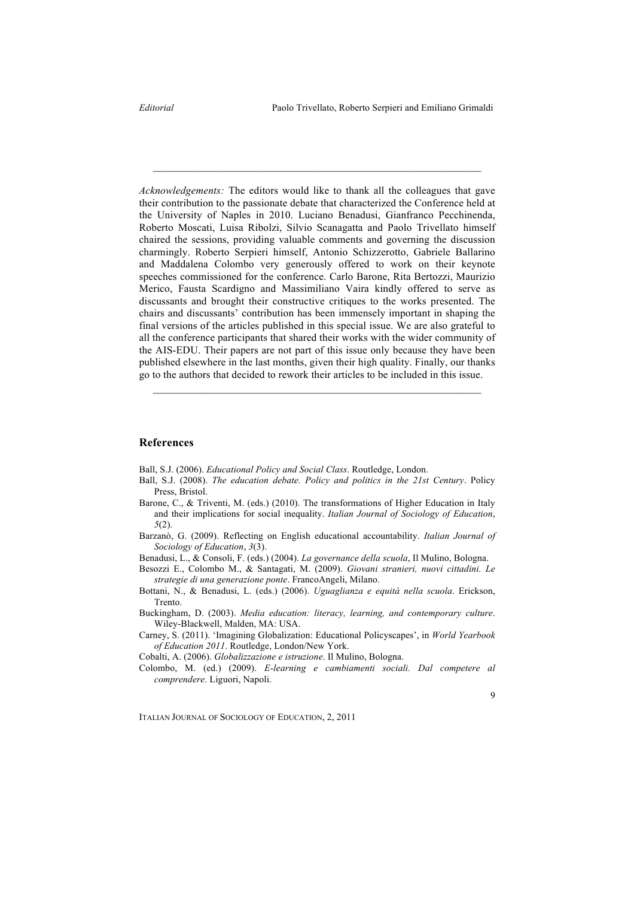*Acknowledgements:* The editors would like to thank all the colleagues that gave their contribution to the passionate debate that characterized the Conference held at the University of Naples in 2010. Luciano Benadusi, Gianfranco Pecchinenda, Roberto Moscati, Luisa Ribolzi, Silvio Scanagatta and Paolo Trivellato himself chaired the sessions, providing valuable comments and governing the discussion charmingly. Roberto Serpieri himself, Antonio Schizzerotto, Gabriele Ballarino and Maddalena Colombo very generously offered to work on their keynote speeches commissioned for the conference. Carlo Barone, Rita Bertozzi, Maurizio Merico, Fausta Scardigno and Massimiliano Vaira kindly offered to serve as discussants and brought their constructive critiques to the works presented. The chairs and discussants' contribution has been immensely important in shaping the final versions of the articles published in this special issue. We are also grateful to all the conference participants that shared their works with the wider community of the AIS-EDU. Their papers are not part of this issue only because they have been published elsewhere in the last months, given their high quality. Finally, our thanks go to the authors that decided to rework their articles to be included in this issue.

\_\_\_\_\_\_\_\_\_\_\_\_\_\_\_\_\_\_\_\_\_\_\_\_\_\_\_\_\_\_\_\_\_\_\_\_\_\_\_\_\_\_\_\_\_\_\_\_\_\_\_\_\_\_\_\_

## **References**

Ball, S.J. (2006). *Educational Policy and Social Class*. Routledge, London.

Ball, S.J. (2008). *The education debate. Policy and politics in the 21st Century*. Policy Press, Bristol.

\_\_\_\_\_\_\_\_\_\_\_\_\_\_\_\_\_\_\_\_\_\_\_\_\_\_\_\_\_\_\_\_\_\_\_\_\_\_\_\_\_\_\_\_\_\_\_\_\_\_\_\_\_\_\_\_

- Barone, C., & Triventi, M. (eds.) (2010). The transformations of Higher Education in Italy and their implications for social inequality. *Italian Journal of Sociology of Education*, *5*(2).
- Barzanò, G. (2009). Reflecting on English educational accountability. *Italian Journal of Sociology of Education*, *3*(3).
- Benadusi, L., & Consoli, F. (eds.) (2004). *La governance della scuola*, Il Mulino, Bologna.
- Besozzi E., Colombo M., & Santagati, M. (2009). *Giovani stranieri, nuovi cittadini. Le strategie di una generazione ponte*. FrancoAngeli, Milano.
- Bottani, N., & Benadusi, L. (eds.) (2006). *Uguaglianza e equità nella scuola*. Erickson, Trento.
- Buckingham, D. (2003). *Media education: literacy, learning, and contemporary culture*. Wiley-Blackwell, Malden, MA: USA.
- Carney, S. (2011). 'Imagining Globalization: Educational Policyscapes', in *World Yearbook of Education 2011*. Routledge, London/New York.

Cobalti, A. (2006). *Globalizzazione e istruzione*. Il Mulino, Bologna.

Colombo, M. (ed.) (2009). *E-learning e cambiamenti sociali. Dal competere al comprendere*. Liguori, Napoli.

9